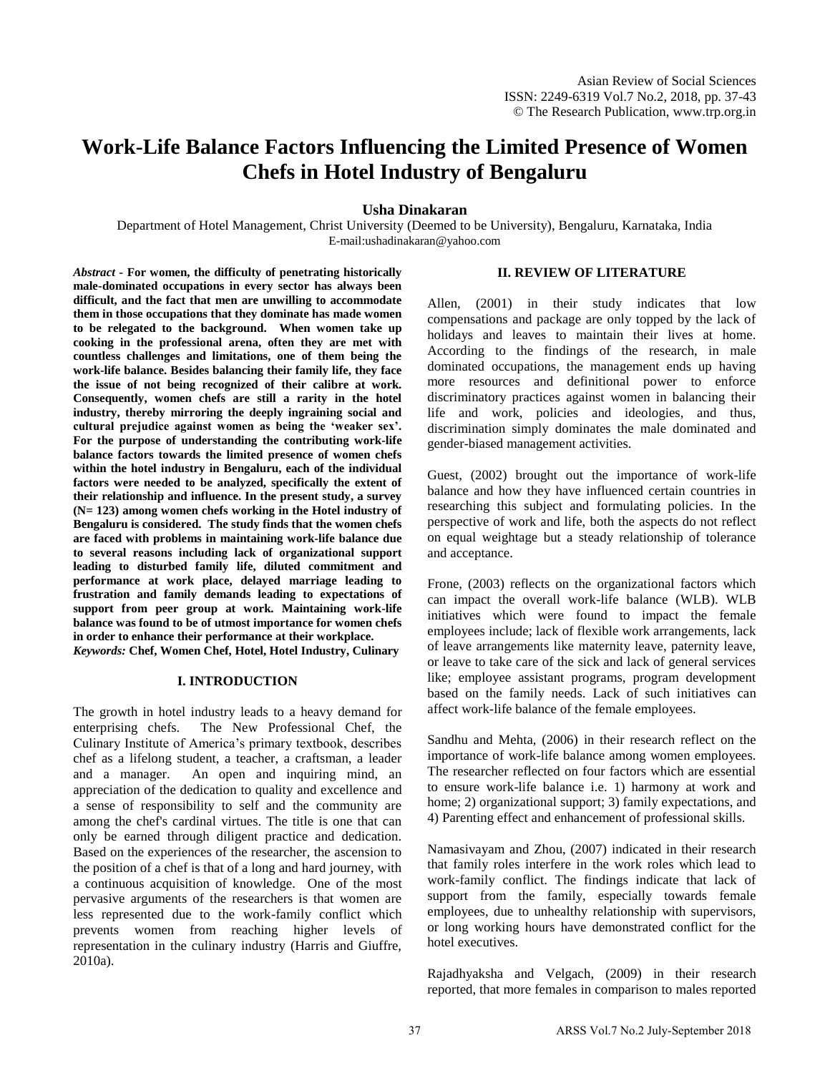# **Work-Life Balance Factors Influencing the Limited Presence of Women Chefs in Hotel Industry of Bengaluru**

## **Usha Dinakaran**

Department of Hotel Management, Christ University (Deemed to be University), Bengaluru, Karnataka, India E-mail:ushadinakaran@yahoo.com

*Abstract -* **For women, the difficulty of penetrating historically male-dominated occupations in every sector has always been difficult, and the fact that men are unwilling to accommodate them in those occupations that they dominate has made women to be relegated to the background. When women take up cooking in the professional arena, often they are met with countless challenges and limitations, one of them being the work-life balance. Besides balancing their family life, they face the issue of not being recognized of their calibre at work. Consequently, women chefs are still a rarity in the hotel industry, thereby mirroring the deeply ingraining social and cultural prejudice against women as being the 'weaker sex'. For the purpose of understanding the contributing work-life balance factors towards the limited presence of women chefs within the hotel industry in Bengaluru, each of the individual factors were needed to be analyzed, specifically the extent of their relationship and influence. In the present study, a survey (N= 123) among women chefs working in the Hotel industry of Bengaluru is considered. The study finds that the women chefs are faced with problems in maintaining work-life balance due to several reasons including lack of organizational support leading to disturbed family life, diluted commitment and performance at work place, delayed marriage leading to frustration and family demands leading to expectations of support from peer group at work. Maintaining work-life balance was found to be of utmost importance for women chefs in order to enhance their performance at their workplace.**  *Keywords:* **Chef, Women Chef, Hotel, Hotel Industry, Culinary** 

#### **I. INTRODUCTION**

The growth in hotel industry leads to a heavy demand for enterprising chefs. The New Professional Chef, the Culinary Institute of America's primary textbook, describes chef as a lifelong student, a teacher, a craftsman, a leader and a manager. An open and inquiring mind, an appreciation of the dedication to quality and excellence and a sense of responsibility to self and the community are among the chef's cardinal virtues. The title is one that can only be earned through diligent practice and dedication. Based on the experiences of the researcher, the ascension to the position of a chef is that of a long and hard journey, with a continuous acquisition of knowledge. One of the most pervasive arguments of the researchers is that women are less represented due to the work-family conflict which prevents women from reaching higher levels of representation in the culinary industry (Harris and Giuffre, 2010a).

#### **II. REVIEW OF LITERATURE**

Allen, (2001) in their study indicates that low compensations and package are only topped by the lack of holidays and leaves to maintain their lives at home. According to the findings of the research, in male dominated occupations, the management ends up having more resources and definitional power to enforce discriminatory practices against women in balancing their life and work, policies and ideologies, and thus, discrimination simply dominates the male dominated and gender-biased management activities.

Guest, (2002) brought out the importance of work-life balance and how they have influenced certain countries in researching this subject and formulating policies. In the perspective of work and life, both the aspects do not reflect on equal weightage but a steady relationship of tolerance and acceptance.

Frone, (2003) reflects on the organizational factors which can impact the overall work-life balance (WLB). WLB initiatives which were found to impact the female employees include; lack of flexible work arrangements, lack of leave arrangements like maternity leave, paternity leave, or leave to take care of the sick and lack of general services like; employee assistant programs, program development based on the family needs. Lack of such initiatives can affect work-life balance of the female employees.

Sandhu and Mehta, (2006) in their research reflect on the importance of work-life balance among women employees. The researcher reflected on four factors which are essential to ensure work-life balance i.e. 1) harmony at work and home; 2) organizational support; 3) family expectations, and 4) Parenting effect and enhancement of professional skills.

Namasivayam and Zhou, (2007) indicated in their research that family roles interfere in the work roles which lead to work-family conflict. The findings indicate that lack of support from the family, especially towards female employees, due to unhealthy relationship with supervisors, or long working hours have demonstrated conflict for the hotel executives.

Rajadhyaksha and Velgach, (2009) in their research reported, that more females in comparison to males reported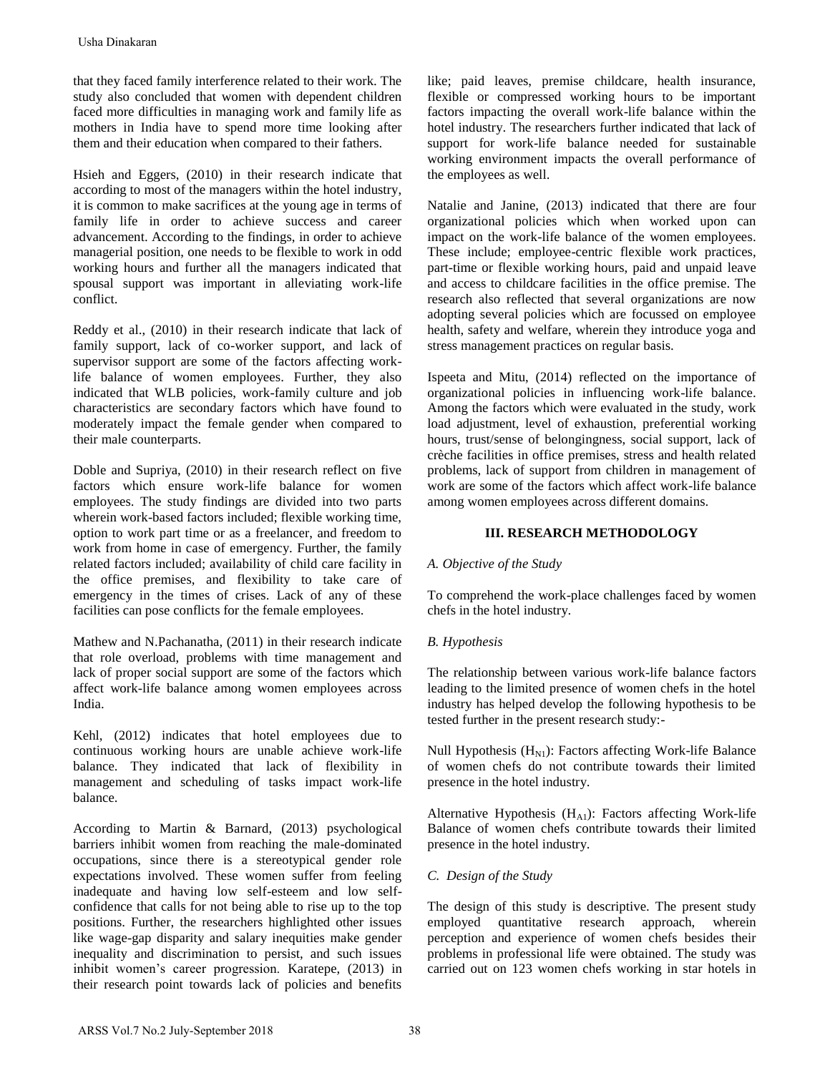that they faced family interference related to their work. The study also concluded that women with dependent children faced more difficulties in managing work and family life as mothers in India have to spend more time looking after them and their education when compared to their fathers.

Hsieh and Eggers, (2010) in their research indicate that according to most of the managers within the hotel industry, it is common to make sacrifices at the young age in terms of family life in order to achieve success and career advancement. According to the findings, in order to achieve managerial position, one needs to be flexible to work in odd working hours and further all the managers indicated that spousal support was important in alleviating work-life conflict.

Reddy et al., (2010) in their research indicate that lack of family support, lack of co-worker support, and lack of supervisor support are some of the factors affecting worklife balance of women employees. Further, they also indicated that WLB policies, work-family culture and job characteristics are secondary factors which have found to moderately impact the female gender when compared to their male counterparts.

Doble and Supriya, (2010) in their research reflect on five factors which ensure work-life balance for women employees. The study findings are divided into two parts wherein work-based factors included; flexible working time, option to work part time or as a freelancer, and freedom to work from home in case of emergency. Further, the family related factors included; availability of child care facility in the office premises, and flexibility to take care of emergency in the times of crises. Lack of any of these facilities can pose conflicts for the female employees.

Mathew and N.Pachanatha, (2011) in their research indicate that role overload, problems with time management and lack of proper social support are some of the factors which affect work-life balance among women employees across India.

Kehl, (2012) indicates that hotel employees due to continuous working hours are unable achieve work-life balance. They indicated that lack of flexibility in management and scheduling of tasks impact work-life balance.

According to Martin & Barnard, (2013) psychological barriers inhibit women from reaching the male-dominated occupations, since there is a stereotypical gender role expectations involved. These women suffer from feeling inadequate and having low self-esteem and low selfconfidence that calls for not being able to rise up to the top positions. Further, the researchers highlighted other issues like wage-gap disparity and salary inequities make gender inequality and discrimination to persist, and such issues inhibit women's career progression. Karatepe, (2013) in their research point towards lack of policies and benefits Usha Dinakaran<br>
that they headed family interference related to their work. The<br>
http who concluded that women with dependent children<br>
noted more difficulties in manging work and family life as<br>
nothers in India have to

like; paid leaves, premise childcare, health insurance, flexible or compressed working hours to be important factors impacting the overall work-life balance within the hotel industry. The researchers further indicated that lack of support for work-life balance needed for sustainable working environment impacts the overall performance of the employees as well.

Natalie and Janine, (2013) indicated that there are four organizational policies which when worked upon can impact on the work-life balance of the women employees. These include; employee-centric flexible work practices, part-time or flexible working hours, paid and unpaid leave and access to childcare facilities in the office premise. The research also reflected that several organizations are now adopting several policies which are focussed on employee health, safety and welfare, wherein they introduce yoga and stress management practices on regular basis.

Ispeeta and Mitu, (2014) reflected on the importance of organizational policies in influencing work-life balance. Among the factors which were evaluated in the study, work load adjustment, level of exhaustion, preferential working hours, trust/sense of belongingness, social support, lack of crèche facilities in office premises, stress and health related problems, lack of support from children in management of work are some of the factors which affect work-life balance among women employees across different domains.

# **III. RESEARCH METHODOLOGY**

## *A. Objective of the Study*

To comprehend the work-place challenges faced by women chefs in the hotel industry.

## *B. Hypothesis*

The relationship between various work-life balance factors leading to the limited presence of women chefs in the hotel industry has helped develop the following hypothesis to be tested further in the present research study:-

Null Hypothesis  $(H_{N1})$ : Factors affecting Work-life Balance of women chefs do not contribute towards their limited presence in the hotel industry.

Alternative Hypothesis  $(H_{A1})$ : Factors affecting Work-life Balance of women chefs contribute towards their limited presence in the hotel industry.

## *C. Design of the Study*

The design of this study is descriptive. The present study employed quantitative research approach, wherein perception and experience of women chefs besides their problems in professional life were obtained. The study was carried out on 123 women chefs working in star hotels in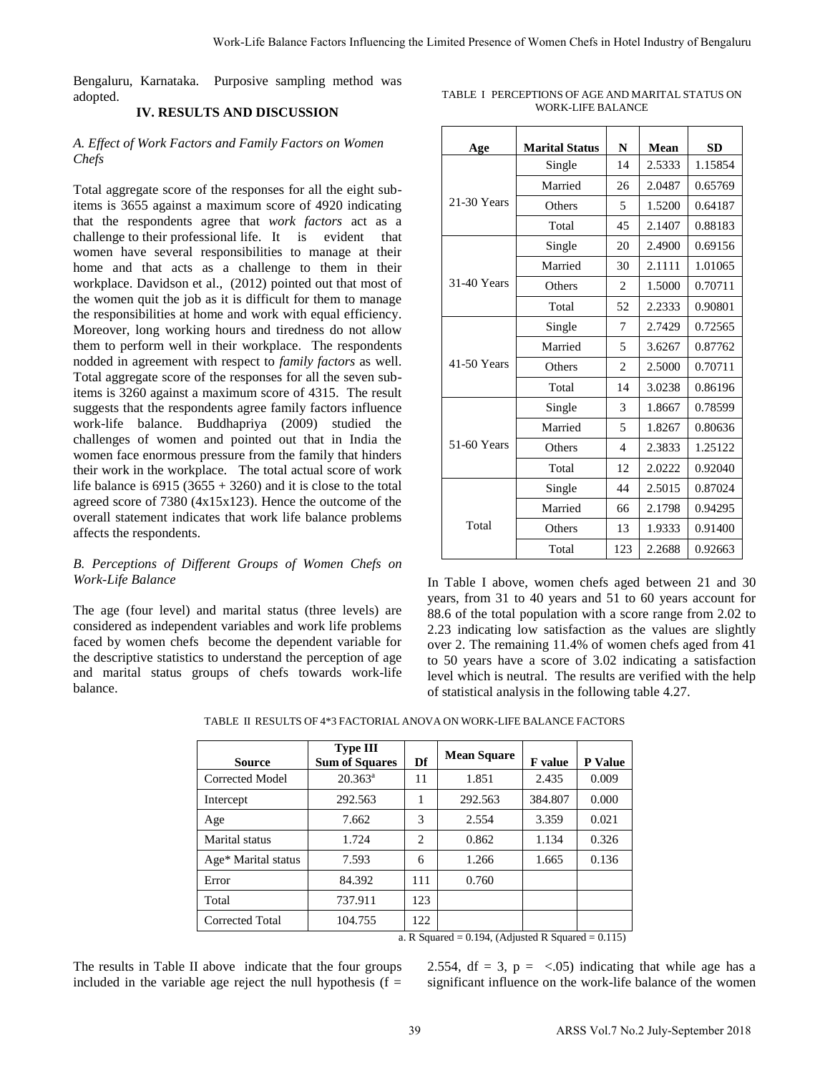Bengaluru, Karnataka. Purposive sampling method was adopted.

# **IV. RESULTS AND DISCUSSION**

### *A. Effect of Work Factors and Family Factors on Women Chefs*

Total aggregate score of the responses for all the eight subitems is 3655 against a maximum score of 4920 indicating that the respondents agree that *work factors* act as a challenge to their professional life. It is evident that women have several responsibilities to manage at their home and that acts as a challenge to them in their workplace. Davidson et al., (2012) pointed out that most of the women quit the job as it is difficult for them to manage the responsibilities at home and work with equal efficiency. Moreover, long working hours and tiredness do not allow them to perform well in their workplace. The respondents nodded in agreement with respect to *family factors* as well. Total aggregate score of the responses for all the seven subitems is 3260 against a maximum score of 4315. The result suggests that the respondents agree family factors influence work-life balance. Buddhapriya (2009) studied the challenges of women and pointed out that in India the women face enormous pressure from the family that hinders their work in the workplace. The total actual score of work life balance is  $6915 (3655 + 3260)$  and it is close to the total agreed score of 7380 (4x15x123). Hence the outcome of the overall statement indicates that work life balance problems affects the respondents.

#### *B. Perceptions of Different Groups of Women Chefs on Work-Life Balance*

The age (four level) and marital status (three levels) are considered as independent variables and work life problems faced by women chefs become the dependent variable for the descriptive statistics to understand the perception of age and marital status groups of chefs towards work-life balance.

| TABLE I PERCEPTIONS OF AGE AND MARITAL STATUS ON |
|--------------------------------------------------|
| WORK-LIFE BALANCE                                |

|                                                                                                             | Purposive sampling method was                                                                                                                                                                                          |     | TABLE I PERCEPTIONS OF AGE AND MARITAL STATUS ON                                                                                                                                                                                                                                                                                                                                                                                                                                                 |                          |         |                |                  |                                     |
|-------------------------------------------------------------------------------------------------------------|------------------------------------------------------------------------------------------------------------------------------------------------------------------------------------------------------------------------|-----|--------------------------------------------------------------------------------------------------------------------------------------------------------------------------------------------------------------------------------------------------------------------------------------------------------------------------------------------------------------------------------------------------------------------------------------------------------------------------------------------------|--------------------------|---------|----------------|------------------|-------------------------------------|
|                                                                                                             |                                                                                                                                                                                                                        |     |                                                                                                                                                                                                                                                                                                                                                                                                                                                                                                  | <b>WORK-LIFE BALANCE</b> |         |                |                  |                                     |
|                                                                                                             | and Family Factors on Women                                                                                                                                                                                            |     | Age                                                                                                                                                                                                                                                                                                                                                                                                                                                                                              | <b>Marital Status</b>    |         | N              | Mean             | <b>SD</b>                           |
|                                                                                                             |                                                                                                                                                                                                                        |     |                                                                                                                                                                                                                                                                                                                                                                                                                                                                                                  | Single                   |         | 14             | 2.5333           | 1.15854                             |
|                                                                                                             | the responses for all the eight sub-                                                                                                                                                                                   |     |                                                                                                                                                                                                                                                                                                                                                                                                                                                                                                  | Married                  |         | 26             | 2.0487           | 0.65769                             |
|                                                                                                             | naximum score of 4920 indicating                                                                                                                                                                                       |     | 21-30 Years                                                                                                                                                                                                                                                                                                                                                                                                                                                                                      | Others                   |         | 5              | 1.5200           | 0.64187                             |
|                                                                                                             | ree that <i>work factors</i> act as a                                                                                                                                                                                  |     |                                                                                                                                                                                                                                                                                                                                                                                                                                                                                                  | Total                    |         | 45             | 2.1407           | 0.88183                             |
|                                                                                                             | evident<br>that                                                                                                                                                                                                        |     |                                                                                                                                                                                                                                                                                                                                                                                                                                                                                                  | Single                   |         | 20             | 2.4900           | 0.69156                             |
|                                                                                                             | sponsibilities to manage at their                                                                                                                                                                                      |     |                                                                                                                                                                                                                                                                                                                                                                                                                                                                                                  | Married                  |         | 30             | 2.1111           | 1.01065                             |
| a challenge to them in their<br>l., (2012) pointed out that most of<br>s it is difficult for them to manage |                                                                                                                                                                                                                        |     |                                                                                                                                                                                                                                                                                                                                                                                                                                                                                                  | Others                   |         | $\overline{c}$ | 1.5000           | 0.70711                             |
|                                                                                                             |                                                                                                                                                                                                                        |     |                                                                                                                                                                                                                                                                                                                                                                                                                                                                                                  | Total                    |         | 52             | 2.2333           | 0.90801                             |
|                                                                                                             | ne and work with equal efficiency.<br>hours and tiredness do not allow                                                                                                                                                 |     |                                                                                                                                                                                                                                                                                                                                                                                                                                                                                                  | Single                   |         | 7              | 2.7429           | 0.72565                             |
|                                                                                                             | their workplace. The respondents                                                                                                                                                                                       |     |                                                                                                                                                                                                                                                                                                                                                                                                                                                                                                  | Married                  |         | 5              | 3.6267           | 0.87762                             |
|                                                                                                             | in respect to <i>family factors</i> as well.                                                                                                                                                                           |     | 41-50 Years                                                                                                                                                                                                                                                                                                                                                                                                                                                                                      | Others                   |         | 2              | 2.5000           | 0.70711                             |
|                                                                                                             | he responses for all the seven sub-                                                                                                                                                                                    |     |                                                                                                                                                                                                                                                                                                                                                                                                                                                                                                  | Total                    |         | 14             | 3.0238           | 0.86196                             |
|                                                                                                             | aximum score of 4315. The result<br>ents agree family factors influence                                                                                                                                                |     |                                                                                                                                                                                                                                                                                                                                                                                                                                                                                                  | Single                   |         | 3              | 1.8667           | 0.78599                             |
|                                                                                                             | studied<br>the                                                                                                                                                                                                         |     |                                                                                                                                                                                                                                                                                                                                                                                                                                                                                                  | Married                  |         | 5              | 1.8267           | 0.80636                             |
|                                                                                                             | nd pointed out that in India the                                                                                                                                                                                       |     | 51-60 Years                                                                                                                                                                                                                                                                                                                                                                                                                                                                                      | Others                   |         | $\overline{4}$ | 2.3833           | 1.25122                             |
|                                                                                                             | essure from the family that hinders                                                                                                                                                                                    |     |                                                                                                                                                                                                                                                                                                                                                                                                                                                                                                  | Total                    |         | 12             | 2.0222           | 0.92040                             |
|                                                                                                             | ce. The total actual score of work<br>$6 + 3260$ ) and it is close to the total                                                                                                                                        |     |                                                                                                                                                                                                                                                                                                                                                                                                                                                                                                  |                          |         |                | 2.5015           | 0.87024                             |
|                                                                                                             | 5x123). Hence the outcome of the                                                                                                                                                                                       |     |                                                                                                                                                                                                                                                                                                                                                                                                                                                                                                  | Single                   |         | 44             |                  |                                     |
|                                                                                                             | es that work life balance problems                                                                                                                                                                                     |     | Total                                                                                                                                                                                                                                                                                                                                                                                                                                                                                            | Married                  |         | 66             | 2.1798           | 0.94295                             |
|                                                                                                             |                                                                                                                                                                                                                        |     |                                                                                                                                                                                                                                                                                                                                                                                                                                                                                                  | Others<br>Total          |         | 13<br>123      | 1.9333<br>2.2688 | 0.91400<br>0.92663                  |
|                                                                                                             | ent Groups of Women Chefs on<br>I marital status (three levels) are<br>t variables and work life problems<br>become the dependent variable for<br>o understand the perception of age<br>ups of chefs towards work-life |     | In Table I above, women chefs aged between 21 and 3<br>years, from 31 to 40 years and 51 to 60 years account fo<br>88.6 of the total population with a score range from 2.02 to<br>2.23 indicating low satisfaction as the values are slightly<br>over 2. The remaining 11.4% of women chefs aged from 4<br>to 50 years have a score of 3.02 indicating a satisfaction<br>level which is neutral. The results are verified with the help<br>of statistical analysis in the following table 4.27. |                          |         |                |                  |                                     |
|                                                                                                             | <b>Type III</b>                                                                                                                                                                                                        |     | ABLE II RESULTS OF 4*3 FACTORIAL ANOVA ON WORK-LIFE BALANCE FACTORS                                                                                                                                                                                                                                                                                                                                                                                                                              |                          |         |                |                  |                                     |
|                                                                                                             | <b>Sum of Squares</b>                                                                                                                                                                                                  | Df  | <b>Mean Square</b>                                                                                                                                                                                                                                                                                                                                                                                                                                                                               | F value                  | P Value |                |                  |                                     |
|                                                                                                             | $20.363^a$                                                                                                                                                                                                             | 11  | 1.851                                                                                                                                                                                                                                                                                                                                                                                                                                                                                            | 2.435                    | 0.009   |                |                  |                                     |
|                                                                                                             | 292.563                                                                                                                                                                                                                | 1   | 292.563                                                                                                                                                                                                                                                                                                                                                                                                                                                                                          | 384.807                  | 0.000   |                |                  |                                     |
|                                                                                                             | 7.662                                                                                                                                                                                                                  | 3   | 2.554                                                                                                                                                                                                                                                                                                                                                                                                                                                                                            | 3.359                    | 0.021   |                |                  |                                     |
|                                                                                                             | 1.724                                                                                                                                                                                                                  | 2   | 0.862                                                                                                                                                                                                                                                                                                                                                                                                                                                                                            | 1.134                    | 0.326   |                |                  |                                     |
|                                                                                                             | 7.593                                                                                                                                                                                                                  | 6   | 1.266                                                                                                                                                                                                                                                                                                                                                                                                                                                                                            | 1.665                    | 0.136   |                |                  |                                     |
|                                                                                                             | 84.392                                                                                                                                                                                                                 | 111 | 0.760                                                                                                                                                                                                                                                                                                                                                                                                                                                                                            |                          |         |                |                  |                                     |
|                                                                                                             | 737.911                                                                                                                                                                                                                | 123 |                                                                                                                                                                                                                                                                                                                                                                                                                                                                                                  |                          |         |                |                  |                                     |
|                                                                                                             | 104.755                                                                                                                                                                                                                | 122 |                                                                                                                                                                                                                                                                                                                                                                                                                                                                                                  |                          |         |                |                  |                                     |
|                                                                                                             | loove indicate that the four groups<br>age reject the null hypothesis ( $f =$                                                                                                                                          |     | a. R Squared = $0.194$ , (Adjusted R Squared = $0.115$ )<br>2.554, df = 3, $p = \langle .05 \rangle$ indicating that while age has<br>significant influence on the work-life balance of the women                                                                                                                                                                                                                                                                                                |                          |         |                |                  |                                     |
|                                                                                                             |                                                                                                                                                                                                                        | 39  |                                                                                                                                                                                                                                                                                                                                                                                                                                                                                                  |                          |         |                |                  | ARSS Vol.7 No.2 July-September 2018 |

| Source              | <b>Type III</b><br><b>Sum of Squares</b> | Df             | <b>Mean Square</b> | <b>F</b> value | P Value |
|---------------------|------------------------------------------|----------------|--------------------|----------------|---------|
| Corrected Model     | $20.363^a$                               | 11             | 1.851              | 2.435          | 0.009   |
| Intercept           | 292.563                                  | 1              | 292.563            | 384.807        | 0.000   |
| Age                 | 7.662                                    | 3              | 2.554              | 3.359          | 0.021   |
| Marital status      | 1.724                                    | $\overline{c}$ | 0.862              | 1.134          | 0.326   |
| Age* Marital status | 7.593                                    | 6              | 1.266              | 1.665          | 0.136   |
| Error               | 84.392                                   | 111            | 0.760              |                |         |
| Total               | 737.911                                  | 123            |                    |                |         |
| Corrected Total     | 104.755                                  | 122            |                    |                |         |

TABLE II RESULTS OF 4\*3 FACTORIAL ANOVA ON WORK-LIFE BALANCE FACTORS

The results in Table II above indicate that the four groups included in the variable age reject the null hypothesis ( $f =$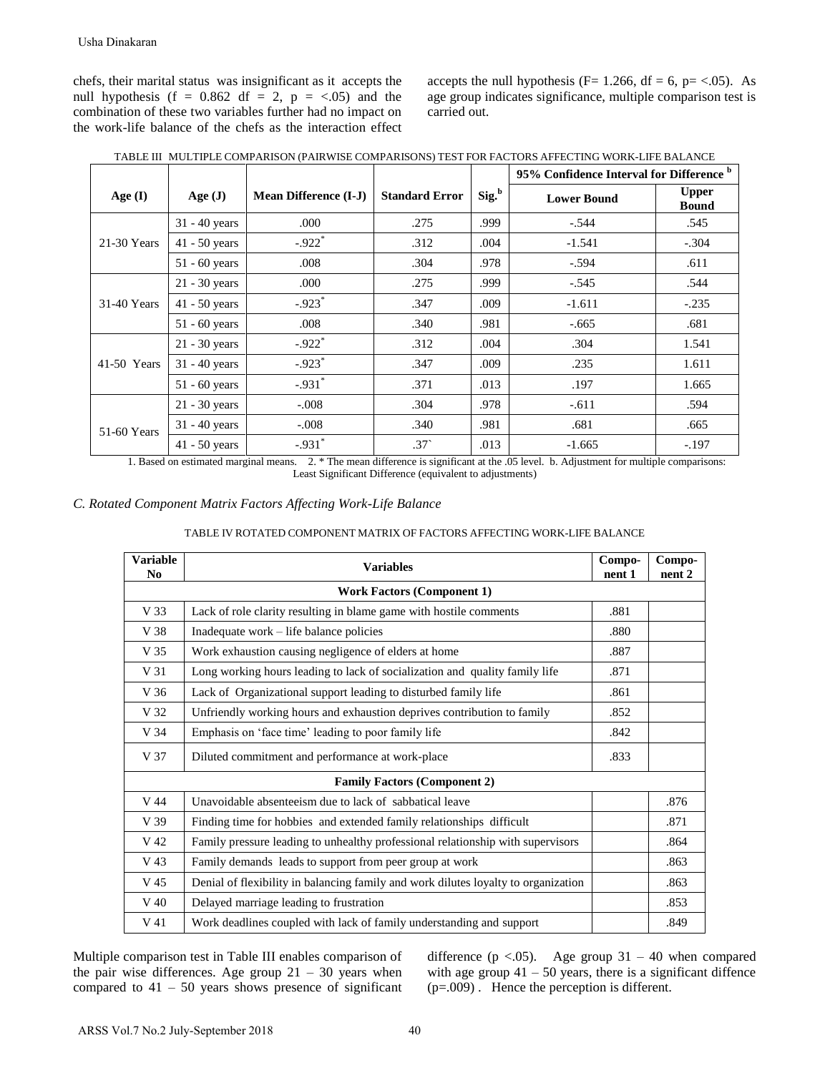accepts the null hypothesis (F= 1.266, df = 6, p= <.05). As age group indicates significance, multiple comparison test is carried out.

|               |                 |                              |                       |                   | 95% Confidence Interval for Difference <sup>b</sup> |                              |
|---------------|-----------------|------------------------------|-----------------------|-------------------|-----------------------------------------------------|------------------------------|
| Age $(I)$     | Age $(J)$       | <b>Mean Difference (I-J)</b> | <b>Standard Error</b> | Sig. <sup>b</sup> | <b>Lower Bound</b>                                  | <b>Upper</b><br><b>Bound</b> |
|               | $31 - 40$ years | .000                         | .275                  | .999              | $-.544$                                             | .545                         |
| 21-30 Years   | $41 - 50$ years | $-.922$ <sup>*</sup>         | .312                  | .004              | $-1.541$                                            | $-.304$                      |
|               | $51 - 60$ years | .008                         | .304                  | .978              | $-.594$                                             | .611                         |
|               | 21 - 30 years   | .000                         | .275                  | .999              | $-.545$                                             | .544                         |
| 31-40 Years   | $41 - 50$ years | $-.923*$                     | .347                  | .009              | $-1.611$                                            | $-.235$                      |
|               | 51 - 60 years   | .008                         | .340                  | .981              | $-.665$                                             | .681                         |
|               | $21 - 30$ years | $-.922*$                     | .312                  | .004              | .304                                                | 1.541                        |
| $41-50$ Years | $31 - 40$ years | $-.923$ <sup>*</sup>         | .347                  | .009              | .235                                                | 1.611                        |
|               | 51 - 60 years   | $-.931$ *                    | .371                  | .013              | .197                                                | 1.665                        |
|               | $21 - 30$ years | $-.008$                      | .304                  | .978              | $-.611$                                             | .594                         |
| 51-60 Years   | $31 - 40$ years | $-.008$                      | .340                  | .981              | .681                                                | .665                         |
|               | $41 - 50$ years | $-.931$ *                    | .37 <sup>°</sup>      | .013              | $-1.665$                                            | $-.197$                      |

## *C. Rotated Component Matrix Factors Affecting Work-Life Balance*

| TABLE IV ROTATED COMPONENT MATRIX OF FACTORS AFFECTING WORK-LIFE BALANCE |
|--------------------------------------------------------------------------|
|--------------------------------------------------------------------------|

|                                |                                                        | TABLE III MULTIPLE COMPARISON (PAIRWISE COMPARISONS) TEST FOR FACTORS AFFECTING WORK-LIFE BALANC                                                        |                                                                                                                                                                            |                   |                                     |        |                     |
|--------------------------------|--------------------------------------------------------|---------------------------------------------------------------------------------------------------------------------------------------------------------|----------------------------------------------------------------------------------------------------------------------------------------------------------------------------|-------------------|-------------------------------------|--------|---------------------|
|                                |                                                        |                                                                                                                                                         |                                                                                                                                                                            |                   | 95% Confidence Interval for Differe |        |                     |
| Age $(I)$                      | Age(J)                                                 | <b>Mean Difference (I-J)</b>                                                                                                                            | <b>Standard Error</b>                                                                                                                                                      | Sig. <sup>b</sup> | <b>Lower Bound</b>                  |        | Uppe<br><b>Boun</b> |
|                                | 31 - 40 years                                          | .000                                                                                                                                                    | .275                                                                                                                                                                       | .999              | $-.544$                             |        | .545                |
| 21-30 Years                    | 41 - 50 years                                          | $-.922$ <sup>*</sup>                                                                                                                                    | .312                                                                                                                                                                       | .004              | $-1.541$                            |        | $-.304$             |
|                                | 51 - 60 years                                          | .008                                                                                                                                                    | .304                                                                                                                                                                       | .978              | $-.594$                             |        | .611                |
|                                | 21 - 30 years                                          | .000                                                                                                                                                    | .275                                                                                                                                                                       | .999              | $-.545$                             |        | .544                |
| 31-40 Years                    | 41 - 50 years                                          | $-.923*$                                                                                                                                                | .347                                                                                                                                                                       | .009              | $-1.611$                            |        | $-.23$              |
|                                | 51 - 60 years                                          | .008                                                                                                                                                    | .340                                                                                                                                                                       | .981              | $-.665$                             |        | .681                |
|                                | 21 - 30 years                                          | $-.922*$                                                                                                                                                | .312                                                                                                                                                                       | .004              | .304                                |        | 1.54                |
| 41-50 Years                    | 31 - 40 years                                          | $-.923*$                                                                                                                                                | .347                                                                                                                                                                       | .009              | .235                                |        | 1.61                |
|                                | 51 - 60 years                                          | $-.931*$                                                                                                                                                | .371                                                                                                                                                                       | .013              | .197                                |        | 1.66                |
|                                | 21 - 30 years                                          | $-.008$                                                                                                                                                 | .304                                                                                                                                                                       | .978              | $-.611$                             |        | .594                |
|                                | 31 - 40 years                                          | $-.008$                                                                                                                                                 | .340                                                                                                                                                                       | .981              | .681                                |        | .665                |
|                                |                                                        |                                                                                                                                                         |                                                                                                                                                                            |                   |                                     |        |                     |
| 51-60 Years<br><b>Variable</b> | 41 - 50 years<br>1. Based on estimated marginal means. | $-.931*$<br>C. Rotated Component Matrix Factors Affecting Work-Life Balance<br>TABLE IV ROTATED COMPONENT MATRIX OF FACTORS AFFECTING WORK-LIFE BALANCE | $.37^{\circ}$<br>2. * The mean difference is significant at the .05 level. b. Adjustment for multiple comparis<br>Least Significant Difference (equivalent to adjustments) | .013              | $-1.665$                            | Compo- | Compo-              |
| No                             |                                                        |                                                                                                                                                         | <b>Variables</b>                                                                                                                                                           |                   |                                     | nent 1 | nent 2              |
|                                |                                                        |                                                                                                                                                         | <b>Work Factors (Component 1)</b>                                                                                                                                          |                   |                                     |        | $-.19'$             |
| V 33                           |                                                        | Lack of role clarity resulting in blame game with hostile comments                                                                                      |                                                                                                                                                                            |                   |                                     | .881   |                     |
| V 38                           |                                                        | Inadequate work - life balance policies                                                                                                                 |                                                                                                                                                                            |                   |                                     | .880   |                     |
| V 35                           |                                                        | Work exhaustion causing negligence of elders at home                                                                                                    |                                                                                                                                                                            |                   |                                     | .887   |                     |
| V 31                           |                                                        | Long working hours leading to lack of socialization and quality family life                                                                             |                                                                                                                                                                            |                   |                                     | .871   |                     |
| V 36                           |                                                        | Lack of Organizational support leading to disturbed family life                                                                                         |                                                                                                                                                                            |                   |                                     | .861   |                     |
| V 32                           |                                                        | Unfriendly working hours and exhaustion deprives contribution to family                                                                                 |                                                                                                                                                                            |                   |                                     | .852   |                     |
| V 34                           |                                                        | Emphasis on 'face time' leading to poor family life                                                                                                     |                                                                                                                                                                            |                   |                                     | .842   |                     |
| V 37                           |                                                        | Diluted commitment and performance at work-place                                                                                                        |                                                                                                                                                                            |                   |                                     | .833   |                     |
|                                |                                                        |                                                                                                                                                         | <b>Family Factors (Component 2)</b>                                                                                                                                        |                   |                                     |        |                     |
| V 44                           |                                                        | Unavoidable absenteeism due to lack of sabbatical leave                                                                                                 |                                                                                                                                                                            |                   |                                     |        | .876                |
| V 39                           |                                                        | Finding time for hobbies and extended family relationships difficult                                                                                    |                                                                                                                                                                            |                   |                                     |        | .871                |
| V 42                           |                                                        | Family pressure leading to unhealthy professional relationship with supervisors                                                                         |                                                                                                                                                                            |                   |                                     |        | .864                |
| V 43                           |                                                        | Family demands leads to support from peer group at work                                                                                                 |                                                                                                                                                                            |                   |                                     |        | .863                |
| V 45<br>V 40                   |                                                        | Denial of flexibility in balancing family and work dilutes loyalty to organization<br>Delayed marriage leading to frustration                           |                                                                                                                                                                            |                   |                                     |        | .863<br>.853        |

difference ( $p < .05$ ). Age group 31 – 40 when compared with age group  $41 - 50$  years, there is a significant diffence (p=.009) . Hence the perception is different.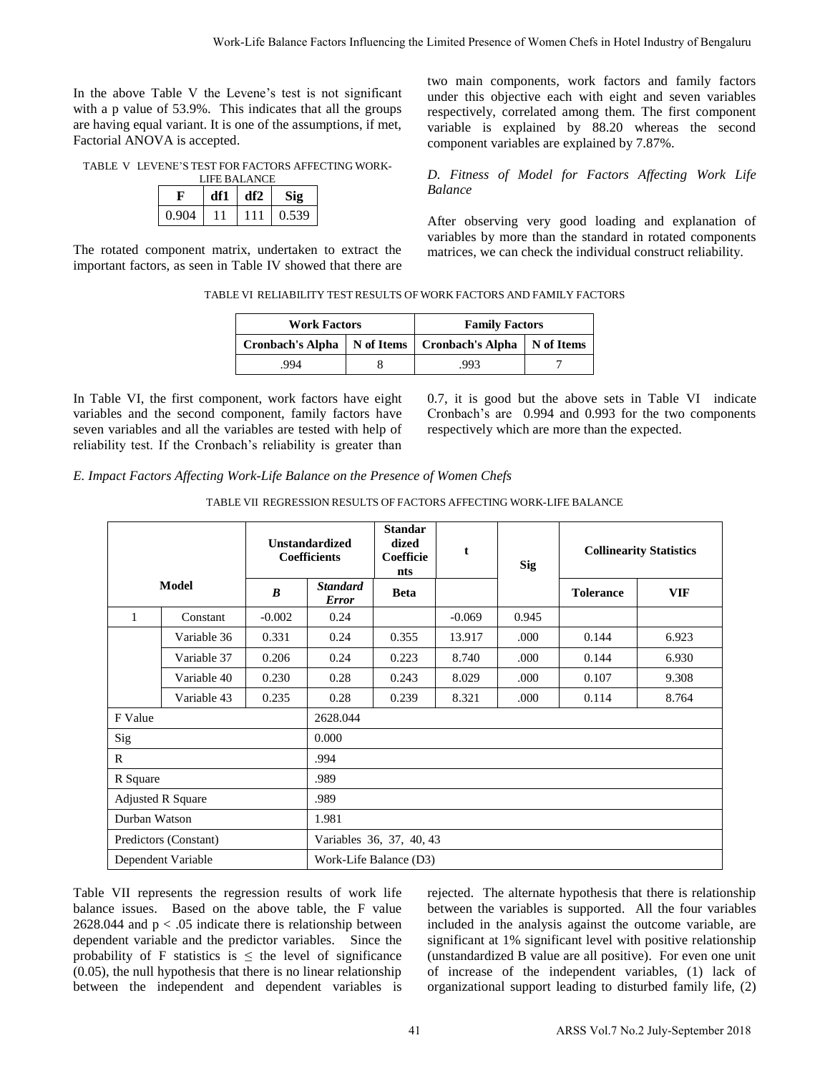In the above Table V the Levene's test is not significant with a p value of 53.9%. This indicates that all the groups are having equal variant. It is one of the assumptions, if met, Factorial ANOVA is accepted.

TABLE V LEVENE'S TEST FOR FACTORS AFFECTING WORK-LIEE BALANCE

| ы влажн |     |     |       |  |  |  |  |  |
|---------|-----|-----|-------|--|--|--|--|--|
|         | dfl | df2 |       |  |  |  |  |  |
| 0.904   |     | . . | 0.539 |  |  |  |  |  |

The rotated component matrix, undertaken to extract the important factors, as seen in Table IV showed that there are

#### TABLE VI RELIABILITY TEST RESULTS OF WORK FACTORS AND FAMILY FACTORS

| <b>Work Factors</b>     |            | <b>Family Factors</b>         |  |
|-------------------------|------------|-------------------------------|--|
| <b>Cronbach's Alpha</b> | N of Items | Cronbach's Alpha   N of Items |  |
| .994                    |            | 993                           |  |

In Table VI, the first component, work factors have eight variables and the second component, family factors have seven variables and all the variables are tested with help of reliability test. If the Cronbach's reliability is greater than

*E. Impact Factors Affecting Work-Life Balance on the Presence of Women Chefs* 

| TABLE VII REGRESSION RESULTS OF FACTORS AFFECTING WORK-LIFE BALANCE |  |
|---------------------------------------------------------------------|--|
|                                                                     |  |

|                |                                                                                                                                                                                                                                                                                                                                                                                              |                                                                      |                                              |                                             |    |                                                |            |                  | Work-Life Balance Factors Influencing the Limited Presence of Women Chefs in Hotel Industry of Bengaluru                                                                                                                                                                                                                                                                                                                                         |  |
|----------------|----------------------------------------------------------------------------------------------------------------------------------------------------------------------------------------------------------------------------------------------------------------------------------------------------------------------------------------------------------------------------------------------|----------------------------------------------------------------------|----------------------------------------------|---------------------------------------------|----|------------------------------------------------|------------|------------------|--------------------------------------------------------------------------------------------------------------------------------------------------------------------------------------------------------------------------------------------------------------------------------------------------------------------------------------------------------------------------------------------------------------------------------------------------|--|
|                | above Table V the Levene's test is not significant<br>p value of 53.9%. This indicates that all the groups<br>ving equal variant. It is one of the assumptions, if met,<br>ial ANOVA is accepted.                                                                                                                                                                                            |                                                                      |                                              |                                             |    | component variables are explained by 7.87%.    |            |                  | two main components, work factors and family factor<br>under this objective each with eight and seven variable<br>respectively, correlated among them. The first componen<br>variable is explained by 88.20 whereas the second                                                                                                                                                                                                                   |  |
|                | LE V LEVENE'S TEST FOR FACTORS AFFECTING WORK-<br>LIFE BALANCE<br>$\mathbf F$<br>df1                                                                                                                                                                                                                                                                                                         | df2<br><b>Sig</b>                                                    |                                              |                                             |    | <b>Balance</b>                                 |            |                  | D. Fitness of Model for Factors Affecting Work Lif                                                                                                                                                                                                                                                                                                                                                                                               |  |
|                | 0.904<br>11<br>otated component matrix, undertaken to extract the<br>tant factors, as seen in Table IV showed that there are                                                                                                                                                                                                                                                                 | 0.539<br>111                                                         |                                              |                                             |    |                                                |            |                  | After observing very good loading and explanation o<br>variables by more than the standard in rotated component<br>matrices, we can check the individual construct reliability.                                                                                                                                                                                                                                                                  |  |
|                |                                                                                                                                                                                                                                                                                                                                                                                              | TABLE VI RELIABILITY TEST RESULTS OF WORK FACTORS AND FAMILY FACTORS |                                              |                                             |    |                                                |            |                  |                                                                                                                                                                                                                                                                                                                                                                                                                                                  |  |
|                |                                                                                                                                                                                                                                                                                                                                                                                              |                                                                      | <b>Work Factors</b>                          |                                             |    | <b>Family Factors</b>                          |            |                  |                                                                                                                                                                                                                                                                                                                                                                                                                                                  |  |
|                |                                                                                                                                                                                                                                                                                                                                                                                              | <b>Cronbach's Alpha</b>                                              |                                              | N of Items                                  |    | <b>Cronbach's Alpha</b>                        | N of Items |                  |                                                                                                                                                                                                                                                                                                                                                                                                                                                  |  |
|                |                                                                                                                                                                                                                                                                                                                                                                                              | .994                                                                 |                                              | 8                                           |    | .993                                           | 7          |                  |                                                                                                                                                                                                                                                                                                                                                                                                                                                  |  |
|                | ble VI, the first component, work factors have eight<br>les and the second component, family factors have<br>variables and all the variables are tested with help of<br>lity test. If the Cronbach's reliability is greater than<br>vact Factors Affecting Work-Life Balance on the Presence of Women Chefs                                                                                  | TABLE VII REGRESSION RESULTS OF FACTORS AFFECTING WORK-LIFE BALANCE  |                                              |                                             |    | respectively which are more than the expected. |            |                  | 0.7, it is good but the above sets in Table VI indicat<br>Cronbach's are 0.994 and 0.993 for the two component                                                                                                                                                                                                                                                                                                                                   |  |
|                |                                                                                                                                                                                                                                                                                                                                                                                              |                                                                      | <b>Unstandardized</b><br><b>Coefficients</b> | <b>Standar</b><br>dized<br>Coefficie<br>nts |    | t                                              | <b>Sig</b> |                  | <b>Collinearity Statistics</b>                                                                                                                                                                                                                                                                                                                                                                                                                   |  |
|                | <b>Model</b>                                                                                                                                                                                                                                                                                                                                                                                 | B                                                                    | <b>Standard</b><br><b>Error</b>              | <b>Beta</b>                                 |    |                                                |            | <b>Tolerance</b> | <b>VIF</b>                                                                                                                                                                                                                                                                                                                                                                                                                                       |  |
| 1              | Constant                                                                                                                                                                                                                                                                                                                                                                                     | $-0.002$                                                             | 0.24                                         |                                             |    | $-0.069$                                       | 0.945      |                  |                                                                                                                                                                                                                                                                                                                                                                                                                                                  |  |
|                | Variable 36                                                                                                                                                                                                                                                                                                                                                                                  | 0.331                                                                | 0.24                                         | 0.355                                       |    | 13.917                                         | .000       | 0.144            | 6.923                                                                                                                                                                                                                                                                                                                                                                                                                                            |  |
|                | Variable 37                                                                                                                                                                                                                                                                                                                                                                                  | 0.206                                                                | 0.24                                         | 0.223                                       |    | 8.740                                          | .000       | 0.144            | 6.930                                                                                                                                                                                                                                                                                                                                                                                                                                            |  |
|                | Variable 40                                                                                                                                                                                                                                                                                                                                                                                  | 0.230                                                                | 0.28                                         | 0.243                                       |    | 8.029                                          | .000       | 0.107            | 9.308                                                                                                                                                                                                                                                                                                                                                                                                                                            |  |
|                | Variable 43                                                                                                                                                                                                                                                                                                                                                                                  | 0.235                                                                | 0.28                                         | 0.239                                       |    | 8.321                                          | .000       | 0.114            | 8.764                                                                                                                                                                                                                                                                                                                                                                                                                                            |  |
| F Value<br>Sig |                                                                                                                                                                                                                                                                                                                                                                                              |                                                                      | 2628.044<br>0.000                            |                                             |    |                                                |            |                  |                                                                                                                                                                                                                                                                                                                                                                                                                                                  |  |
| R              |                                                                                                                                                                                                                                                                                                                                                                                              |                                                                      | .994                                         |                                             |    |                                                |            |                  |                                                                                                                                                                                                                                                                                                                                                                                                                                                  |  |
| R Square       |                                                                                                                                                                                                                                                                                                                                                                                              |                                                                      | .989                                         |                                             |    |                                                |            |                  |                                                                                                                                                                                                                                                                                                                                                                                                                                                  |  |
|                | <b>Adjusted R Square</b>                                                                                                                                                                                                                                                                                                                                                                     |                                                                      | .989                                         |                                             |    |                                                |            |                  |                                                                                                                                                                                                                                                                                                                                                                                                                                                  |  |
| Durban Watson  |                                                                                                                                                                                                                                                                                                                                                                                              |                                                                      | 1.981                                        |                                             |    |                                                |            |                  |                                                                                                                                                                                                                                                                                                                                                                                                                                                  |  |
|                | Predictors (Constant)                                                                                                                                                                                                                                                                                                                                                                        |                                                                      | Variables 36, 37, 40, 43                     |                                             |    |                                                |            |                  |                                                                                                                                                                                                                                                                                                                                                                                                                                                  |  |
|                | Dependent Variable                                                                                                                                                                                                                                                                                                                                                                           |                                                                      | Work-Life Balance (D3)                       |                                             |    |                                                |            |                  |                                                                                                                                                                                                                                                                                                                                                                                                                                                  |  |
|                | VII represents the regression results of work life<br>e issues. Based on the above table, the F value<br>044 and $p < .05$ indicate there is relationship between<br>dent variable and the predictor variables.<br>bility of F statistics is $\leq$ the level of significance<br>, the null hypothesis that there is no linear relationship<br>en the independent and dependent variables is |                                                                      |                                              | Since the                                   |    |                                                |            |                  | rejected. The alternate hypothesis that there is relationship<br>between the variables is supported. All the four variable<br>included in the analysis against the outcome variable, ar<br>significant at 1% significant level with positive relationship<br>(unstandardized B value are all positive). For even one uni<br>of increase of the independent variables, (1) lack of<br>organizational support leading to disturbed family life, (2 |  |
|                |                                                                                                                                                                                                                                                                                                                                                                                              |                                                                      |                                              |                                             | 41 |                                                |            |                  | ARSS Vol.7 No.2 July-September 2018                                                                                                                                                                                                                                                                                                                                                                                                              |  |

Table VII represents the regression results of work life balance issues. Based on the above table, the F value 2628.044 and  $p < .05$  indicate there is relationship between dependent variable and the predictor variables. Since the probability of F statistics is  $\leq$  the level of significance (0.05), the null hypothesis that there is no linear relationship between the independent and dependent variables is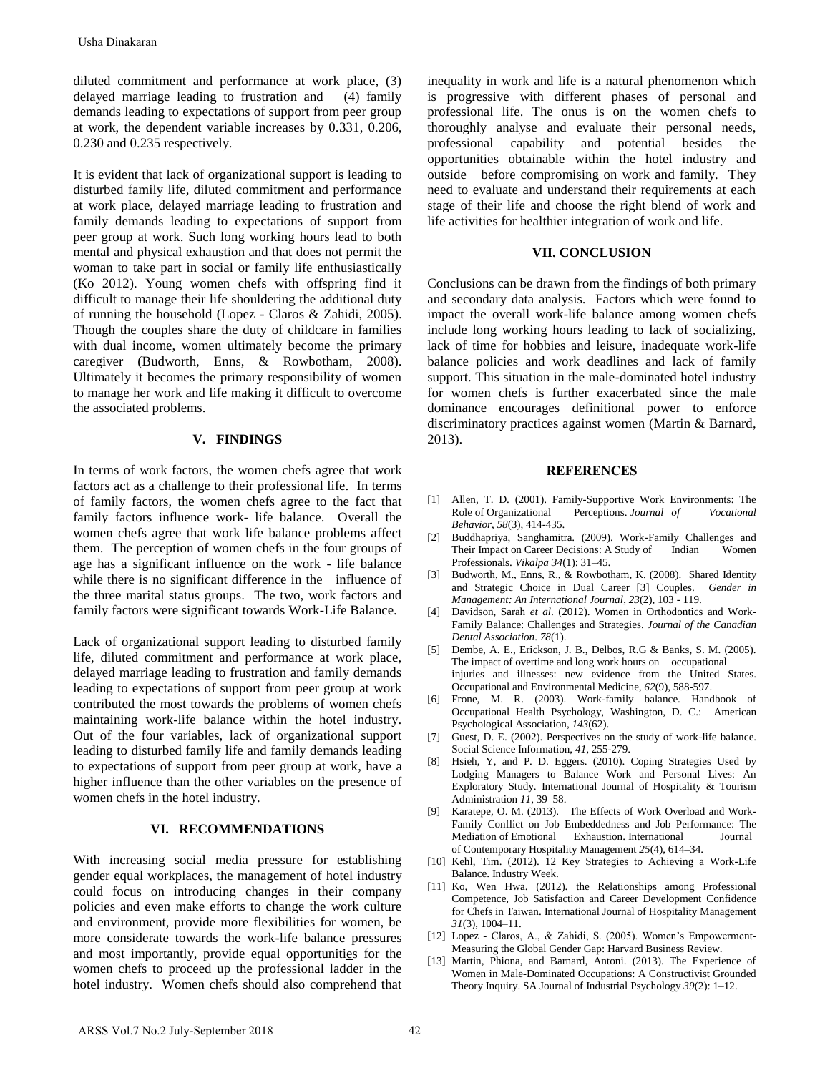diluted commitment and performance at work place, (3) delayed marriage leading to frustration and (4) family demands leading to expectations of support from peer group at work, the dependent variable increases by 0.331, 0.206, 0.230 and 0.235 respectively.

It is evident that lack of organizational support is leading to disturbed family life, diluted commitment and performance at work place, delayed marriage leading to frustration and family demands leading to expectations of support from peer group at work. Such long working hours lead to both mental and physical exhaustion and that does not permit the woman to take part in social or family life enthusiastically (Ko 2012). Young women chefs with offspring find it difficult to manage their life shouldering the additional duty of running the household (Lopez - Claros & Zahidi, 2005). Though the couples share the duty of childcare in families with dual income, women ultimately become the primary caregiver (Budworth, Enns, & Rowbotham, 2008). Ultimately it becomes the primary responsibility of women to manage her work and life making it difficult to overcome the associated problems. Usha Dinakaran<br>
Usha Dinakaran<br>
Ushay dimuniment and performance at work place, (3)<br>
ulchyd marnings loading to framention and (4) family<br>
hemands leading to expectations of support from peer group<br>
two wish, the dependen

## **V. FINDINGS**

In terms of work factors, the women chefs agree that work factors act as a challenge to their professional life. In terms of family factors, the women chefs agree to the fact that family factors influence work- life balance. Overall the women chefs agree that work life balance problems affect them. The perception of women chefs in the four groups of age has a significant influence on the work - life balance while there is no significant difference in the influence of the three marital status groups.The two, work factors and family factors were significant towards Work-Life Balance.

Lack of organizational support leading to disturbed family life, diluted commitment and performance at work place, delayed marriage leading to frustration and family demands leading to expectations of support from peer group at work contributed the most towards the problems of women chefs maintaining work-life balance within the hotel industry. Out of the four variables, lack of organizational support leading to disturbed family life and family demands leading to expectations of support from peer group at work, have a higher influence than the other variables on the presence of women chefs in the hotel industry.

## **VI. RECOMMENDATIONS**

With increasing social media pressure for establishing gender equal workplaces, the management of hotel industry could focus on introducing changes in their company policies and even make efforts to change the work culture and environment, provide more flexibilities for women, be more considerate towards the work-life balance pressures and most importantly, provide equal opportunities for the women chefs to proceed up the professional ladder in the hotel industry. Women chefs should also comprehend that

inequality in work and life is a natural phenomenon which is progressive with different phases of personal and professional life. The onus is on the women chefs to thoroughly analyse and evaluate their personal needs, professional capability and potential besides the opportunities obtainable within the hotel industry and outside before compromising on work and family. They need to evaluate and understand their requirements at each stage of their life and choose the right blend of work and life activities for healthier integration of work and life.

### **VII. CONCLUSION**

Conclusions can be drawn from the findings of both primary and secondary data analysis. Factors which were found to impact the overall work-life balance among women chefs include long working hours leading to lack of socializing, lack of time for hobbies and leisure, inadequate work-life balance policies and work deadlines and lack of family support. This situation in the male-dominated hotel industry for women chefs is further exacerbated since the male dominance encourages definitional power to enforce discriminatory practices against women (Martin & Barnard, 2013).

#### **REFERENCES**

- [1] Allen, T. D. (2001). Family-Supportive Work Environments: The Role of Organizational Perceptions. *Journal of Vocational Behavior*, *58*(3), 414-435.
- [2] Buddhapriya, Sanghamitra. (2009). Work-Family Challenges and Their Impact on Career Decisions: A Study of Indian Women Professionals. *Vikalpa 34*(1): 31–45.
- [3] Budworth, M., Enns, R., & Rowbotham, K. (2008). Shared Identity and Strategic Choice in Dual Career [3] Couples. *Gender in Management: An International Journal*, *23*(2), 103 - 119.
- [4] Davidson, Sarah *et al*. (2012). Women in Orthodontics and Work-Family Balance: Challenges and Strategies. *Journal of the Canadian Dental Association*. *78*(1).
- [5] Dembe, A. E., Erickson, J. B., Delbos, R.G & Banks, S. M. (2005). The impact of overtime and long work hours on occupational injuries and illnesses: new evidence from the United States. Occupational and Environmental Medicine, *62*(9), 588-597.
- [6] Frone, M. R. (2003). Work-family balance. Handbook of Occupational Health Psychology, Washington, D. C.: American Psychological Association, *143*(62).
- [7] Guest, D. E. (2002). Perspectives on the study of work-life balance. Social Science Information, *41*, 255-279.
- [8] Hsieh, Y, and P. D. Eggers. (2010). Coping Strategies Used by Lodging Managers to Balance Work and Personal Lives: An Exploratory Study. International Journal of Hospitality & Tourism Administration *11*, 39–58.
- [9] Karatepe, O. M. (2013). The Effects of Work Overload and Work-Family Conflict on Job Embeddedness and Job Performance: The Mediation of Emotional Exhaustion. International Journal of Contemporary Hospitality Management *25*(4), 614–34.
- [10] Kehl, Tim. (2012). 12 Key Strategies to Achieving a Work-Life Balance. Industry Week.
- [11] Ko, Wen Hwa. (2012). the Relationships among Professional Competence, Job Satisfaction and Career Development Confidence for Chefs in Taiwan. International Journal of Hospitality Management *31*(3), 1004–11.
- [12] Lopez Claros, A., & Zahidi, S. (2005). Women's Empowerment-Measuring the Global Gender Gap: Harvard Business Review.
- [13] Martin, Phiona, and Barnard, Antoni. (2013). The Experience of Women in Male-Dominated Occupations: A Constructivist Grounded Theory Inquiry. SA Journal of Industrial Psychology *39*(2): 1–12.